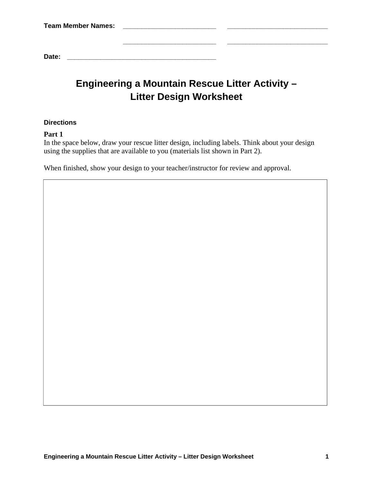| <b>Team Member Names:</b> |  |
|---------------------------|--|
|                           |  |
|                           |  |
| Date:                     |  |

# **Engineering a Mountain Rescue Litter Activity – Litter Design Worksheet**

## **Directions**

# **Part 1**

In the space below, draw your rescue litter design, including labels. Think about your design using the supplies that are available to you (materials list shown in Part 2).

When finished, show your design to your teacher/instructor for review and approval.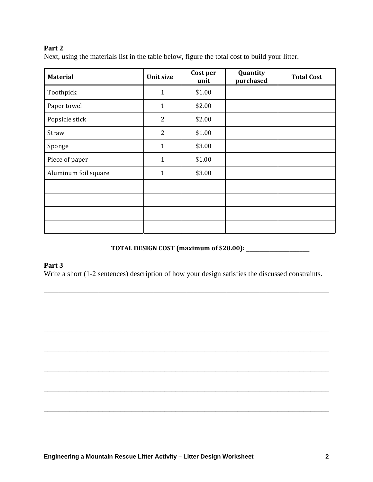# **Part 2**

Next, using the materials list in the table below, figure the total cost to build your litter.

| <b>Material</b>      | <b>Unit size</b> | Cost per<br>unit | Quantity<br>purchased | <b>Total Cost</b> |
|----------------------|------------------|------------------|-----------------------|-------------------|
| Toothpick            | $\mathbf{1}$     | \$1.00           |                       |                   |
| Paper towel          | $\mathbf{1}$     | \$2.00           |                       |                   |
| Popsicle stick       | $\overline{2}$   | \$2.00           |                       |                   |
| Straw                | $\overline{2}$   | \$1.00           |                       |                   |
| Sponge               | $\mathbf{1}$     | \$3.00           |                       |                   |
| Piece of paper       | $\mathbf{1}$     | \$1.00           |                       |                   |
| Aluminum foil square | $\mathbf{1}$     | \$3.00           |                       |                   |
|                      |                  |                  |                       |                   |
|                      |                  |                  |                       |                   |
|                      |                  |                  |                       |                   |
|                      |                  |                  |                       |                   |

# **TOTAL DESIGN COST (maximum of \$20.00):** \_\_\_\_\_\_\_\_\_\_\_\_\_\_\_\_\_\_\_

## **Part 3**

Write a short (1-2 sentences) description of how your design satisfies the discussed constraints.

\_\_\_\_\_\_\_\_\_\_\_\_\_\_\_\_\_\_\_\_\_\_\_\_\_\_\_\_\_\_\_\_\_\_\_\_\_\_\_\_\_\_\_\_\_\_\_\_\_\_\_\_\_\_\_\_\_\_\_\_\_\_\_\_\_\_\_\_\_\_\_\_\_\_\_\_\_\_

\_\_\_\_\_\_\_\_\_\_\_\_\_\_\_\_\_\_\_\_\_\_\_\_\_\_\_\_\_\_\_\_\_\_\_\_\_\_\_\_\_\_\_\_\_\_\_\_\_\_\_\_\_\_\_\_\_\_\_\_\_\_\_\_\_\_\_\_\_\_\_\_\_\_\_\_\_\_

\_\_\_\_\_\_\_\_\_\_\_\_\_\_\_\_\_\_\_\_\_\_\_\_\_\_\_\_\_\_\_\_\_\_\_\_\_\_\_\_\_\_\_\_\_\_\_\_\_\_\_\_\_\_\_\_\_\_\_\_\_\_\_\_\_\_\_\_\_\_\_\_\_\_\_\_\_\_

\_\_\_\_\_\_\_\_\_\_\_\_\_\_\_\_\_\_\_\_\_\_\_\_\_\_\_\_\_\_\_\_\_\_\_\_\_\_\_\_\_\_\_\_\_\_\_\_\_\_\_\_\_\_\_\_\_\_\_\_\_\_\_\_\_\_\_\_\_\_\_\_\_\_\_\_\_\_

\_\_\_\_\_\_\_\_\_\_\_\_\_\_\_\_\_\_\_\_\_\_\_\_\_\_\_\_\_\_\_\_\_\_\_\_\_\_\_\_\_\_\_\_\_\_\_\_\_\_\_\_\_\_\_\_\_\_\_\_\_\_\_\_\_\_\_\_\_\_\_\_\_\_\_\_\_\_

\_\_\_\_\_\_\_\_\_\_\_\_\_\_\_\_\_\_\_\_\_\_\_\_\_\_\_\_\_\_\_\_\_\_\_\_\_\_\_\_\_\_\_\_\_\_\_\_\_\_\_\_\_\_\_\_\_\_\_\_\_\_\_\_\_\_\_\_\_\_\_\_\_\_\_\_\_\_

\_\_\_\_\_\_\_\_\_\_\_\_\_\_\_\_\_\_\_\_\_\_\_\_\_\_\_\_\_\_\_\_\_\_\_\_\_\_\_\_\_\_\_\_\_\_\_\_\_\_\_\_\_\_\_\_\_\_\_\_\_\_\_\_\_\_\_\_\_\_\_\_\_\_\_\_\_\_